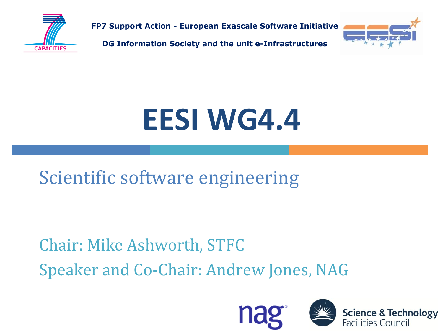

**FP7 Support Action - European Exascale Software Initiative**

**DG Information Society and the unit e-Infrastructures**



# **EESI WG4.4**

Scientific software engineering

Chair: Mike Ashworth, STFC Speaker and Co-Chair: Andrew Jones, NAG



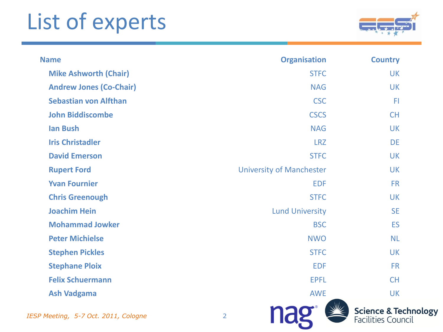## List of experts



| <b>Name</b>                        | <b>Organisation</b>             | <b>Country</b>                                               |
|------------------------------------|---------------------------------|--------------------------------------------------------------|
| <b>Mike Ashworth (Chair)</b>       | <b>STFC</b>                     | <b>UK</b>                                                    |
| <b>Andrew Jones (Co-Chair)</b>     | <b>NAG</b>                      | <b>UK</b>                                                    |
| <b>Sebastian von Alfthan</b>       | <b>CSC</b>                      | F <sub>1</sub>                                               |
| <b>John Biddiscombe</b>            | <b>CSCS</b>                     | <b>CH</b>                                                    |
| <b>Ian Bush</b>                    | <b>NAG</b>                      | <b>UK</b>                                                    |
| <b>Iris Christadler</b>            | <b>LRZ</b>                      | <b>DE</b>                                                    |
| <b>David Emerson</b>               | <b>STFC</b>                     | <b>UK</b>                                                    |
| <b>Rupert Ford</b>                 | <b>University of Manchester</b> | <b>UK</b>                                                    |
| <b>Yvan Fournier</b>               | <b>EDF</b>                      | <b>FR</b>                                                    |
| <b>Chris Greenough</b>             | <b>STFC</b>                     | <b>UK</b>                                                    |
| <b>Joachim Hein</b>                | <b>Lund University</b>          | <b>SE</b>                                                    |
| <b>Mohammad Jowker</b>             | <b>BSC</b>                      | <b>ES</b>                                                    |
| <b>Peter Michielse</b>             | <b>NWO</b>                      | <b>NL</b>                                                    |
| <b>Stephen Pickles</b>             | <b>STFC</b>                     | <b>UK</b>                                                    |
| <b>Stephane Ploix</b>              | <b>EDF</b>                      | <b>FR</b>                                                    |
| <b>Felix Schuermann</b>            | <b>EPFL</b>                     | <b>CH</b>                                                    |
| <b>Ash Vadgama</b>                 | <b>AWE</b>                      | <b>UK</b>                                                    |
| SP Meeting, 5-7 Oct. 2011, Cologne | $\overline{2}$                  | <b>Science &amp; Technology</b><br><b>Facilities Council</b> |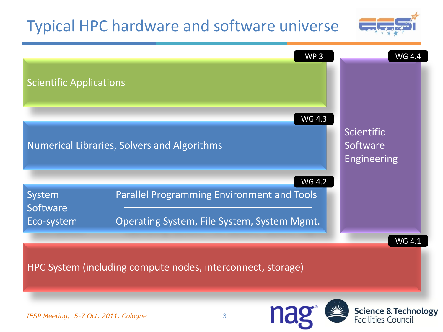#### Typical HPC hardware and software universe



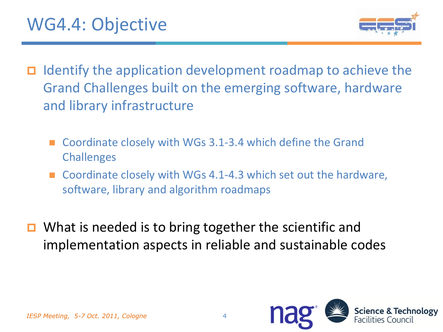

- Identify the application development roadmap to achieve the Grand Challenges built on the emerging software, hardware and library infrastructure
	- Coordinate closely with WGs 3.1-3.4 which define the Grand **Challenges**
	- Coordinate closely with WGs 4.1-4.3 which set out the hardware, software, library and algorithm roadmaps
- What is needed is to bring together the scientific and implementation aspects in reliable and sustainable codes

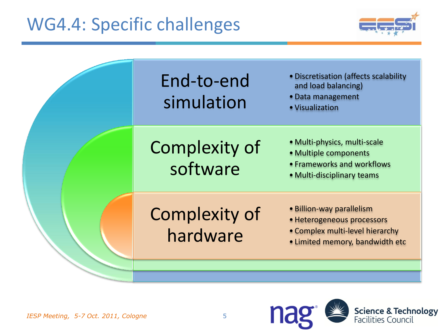#### WG4.4: Specific challenges



|  | End-to-end<br>simulation         | • Discretisation (affects scalability<br>and load balancing)<br>· Data management<br>• Visualization                          |
|--|----------------------------------|-------------------------------------------------------------------------------------------------------------------------------|
|  | Complexity of<br>software        | • Multi-physics, multi-scale<br>• Multiple components<br>• Frameworks and workflows<br>• Multi-disciplinary teams             |
|  | <b>Complexity of</b><br>hardware | • Billion-way parallelism<br>· Heterogeneous processors<br>• Complex multi-level hierarchy<br>• Limited memory, bandwidth etc |
|  |                                  |                                                                                                                               |



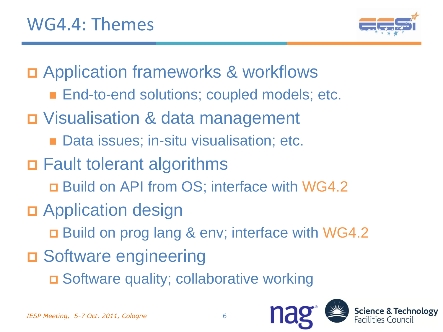

Application frameworks & workflows

- **End-to-end solutions; coupled models; etc.**
- Visualisation & data management
	- Data issues; in-situ visualisation; etc.
- □ Fault tolerant algorithms
	- Build on API from OS; interface with WG4.2
- **D** Application design
	- □ Build on prog lang & env; interface with WG4.2
- **□ Software engineering** 
	- □ Software quality; collaborative working

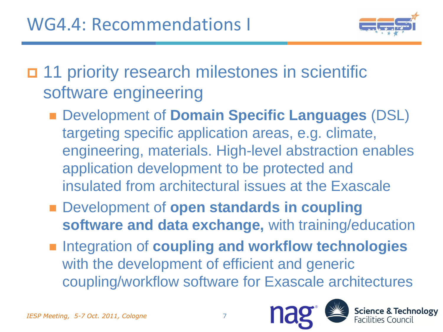

 11 priority research milestones in scientific software engineering

- Development of **Domain Specific Languages** (DSL) targeting specific application areas, e.g. climate, engineering, materials. High-level abstraction enables application development to be protected and insulated from architectural issues at the Exascale
- Development of **open standards in coupling software and data exchange,** with training/education
- **Example 1** Integration of **coupling and workflow technologies** with the development of efficient and generic coupling/workflow software for Exascale architectures

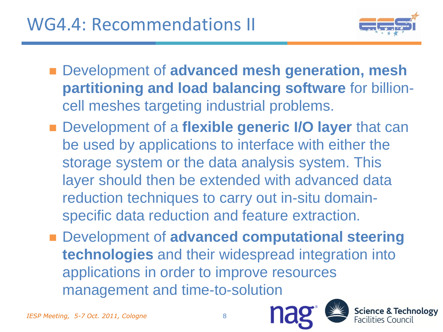

- Development of **advanced mesh generation, mesh partitioning and load balancing software** for billioncell meshes targeting industrial problems.
- Development of a flexible generic I/O layer that can be used by applications to interface with either the storage system or the data analysis system. This layer should then be extended with advanced data reduction techniques to carry out in-situ domainspecific data reduction and feature extraction.
- Development of **advanced computational steering technologies** and their widespread integration into applications in order to improve resources management and time-to-solution



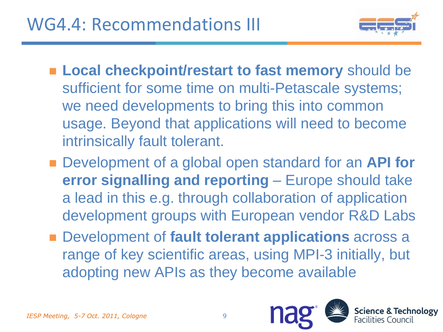

- **Local checkpoint/restart to fast memory** should be sufficient for some time on multi-Petascale systems; we need developments to bring this into common usage. Beyond that applications will need to become intrinsically fault tolerant.
- Development of a global open standard for an **API for error signalling and reporting** – Europe should take a lead in this e.g. through collaboration of application development groups with European vendor R&D Labs
- Development of **fault tolerant applications** across a range of key scientific areas, using MPI-3 initially, but adopting new APIs as they become available

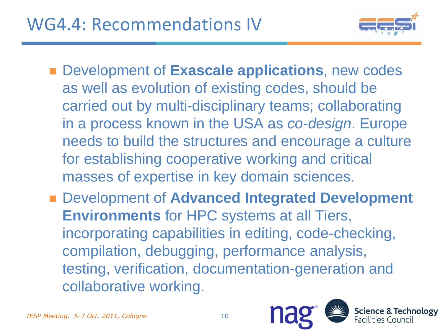

- Development of **Exascale applications**, new codes as well as evolution of existing codes, should be carried out by multi-disciplinary teams; collaborating in a process known in the USA as *co-design*. Europe needs to build the structures and encourage a culture for establishing cooperative working and critical masses of expertise in key domain sciences.
- Development of **Advanced Integrated Development Environments** for HPC systems at all Tiers, incorporating capabilities in editing, code-checking, compilation, debugging, performance analysis, testing, verification, documentation-generation and collaborative working.

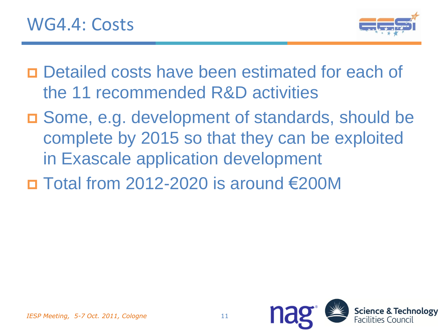

- Detailed costs have been estimated for each of the 11 recommended R&D activities
- Some, e.g. development of standards, should be complete by 2015 so that they can be exploited in Exascale application development
- $\Box$  Total from 2012-2020 is around €200M

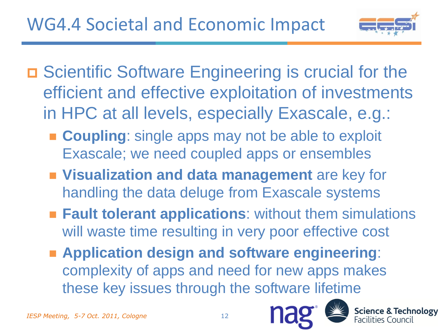

- □ Scientific Software Engineering is crucial for the efficient and effective exploitation of investments in HPC at all levels, especially Exascale, e.g.:
	- **Coupling:** single apps may not be able to exploit Exascale; we need coupled apps or ensembles
	- **Visualization and data management** are key for handling the data deluge from Exascale systems
	- **Fault tolerant applications:** without them simulations will waste time resulting in very poor effective cost
	- **Application design and software engineering**: complexity of apps and need for new apps makes these key issues through the software lifetime



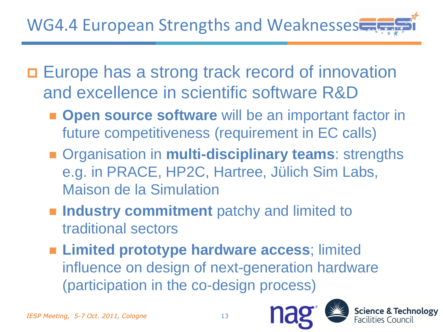- □ Europe has a strong track record of innovation and excellence in scientific software R&D
	- $\blacksquare$  **Open source software** will be an important factor in future competitiveness (requirement in EC calls)
	- Organisation in **multi-disciplinary teams**: strengths e.g. in PRACE, HP2C, Hartree, Jülich Sim Labs, Maison de la Simulation
	- **Industry commitment** patchy and limited to traditional sectors
	- **Limited prototype hardware access**; limited influence on design of next-generation hardware (participation in the co-design process)



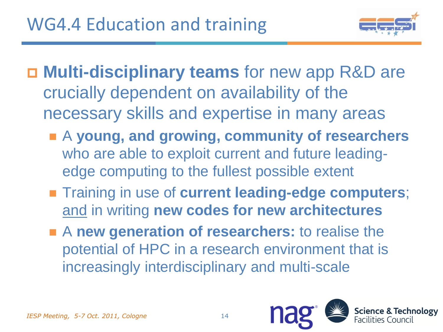

- **Multi-disciplinary teams** for new app R&D are crucially dependent on availability of the necessary skills and expertise in many areas
	- A **young, and growing, community of researchers** who are able to exploit current and future leadingedge computing to the fullest possible extent
	- **Training in use of current leading-edge computers;** and in writing **new codes for new architectures**
	- **A new generation of researchers:** to realise the potential of HPC in a research environment that is increasingly interdisciplinary and multi-scale

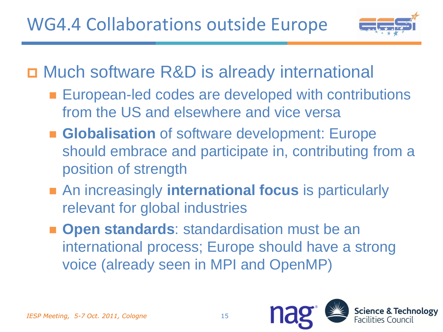

□ Much software R&D is already international

- **European-led codes are developed with contributions** from the US and elsewhere and vice versa
- **Globalisation** of software development: Europe should embrace and participate in, contributing from a position of strength
- **An increasingly international focus is particularly** relevant for global industries
- **Open standards:** standardisation must be an international process; Europe should have a strong voice (already seen in MPI and OpenMP)

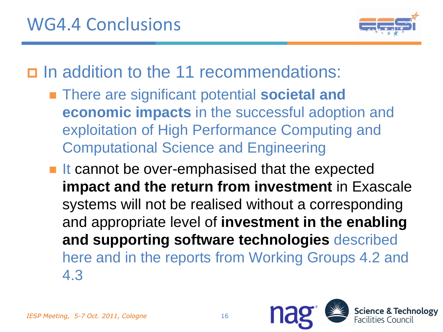

In addition to the 11 recommendations:

■ There are significant potential **societal and economic impacts** in the successful adoption and exploitation of High Performance Computing and Computational Science and Engineering

■ It cannot be over-emphasised that the expected **impact and the return from investment** in Exascale systems will not be realised without a corresponding and appropriate level of **investment in the enabling and supporting software technologies** described here and in the reports from Working Groups 4.2 and 4.3